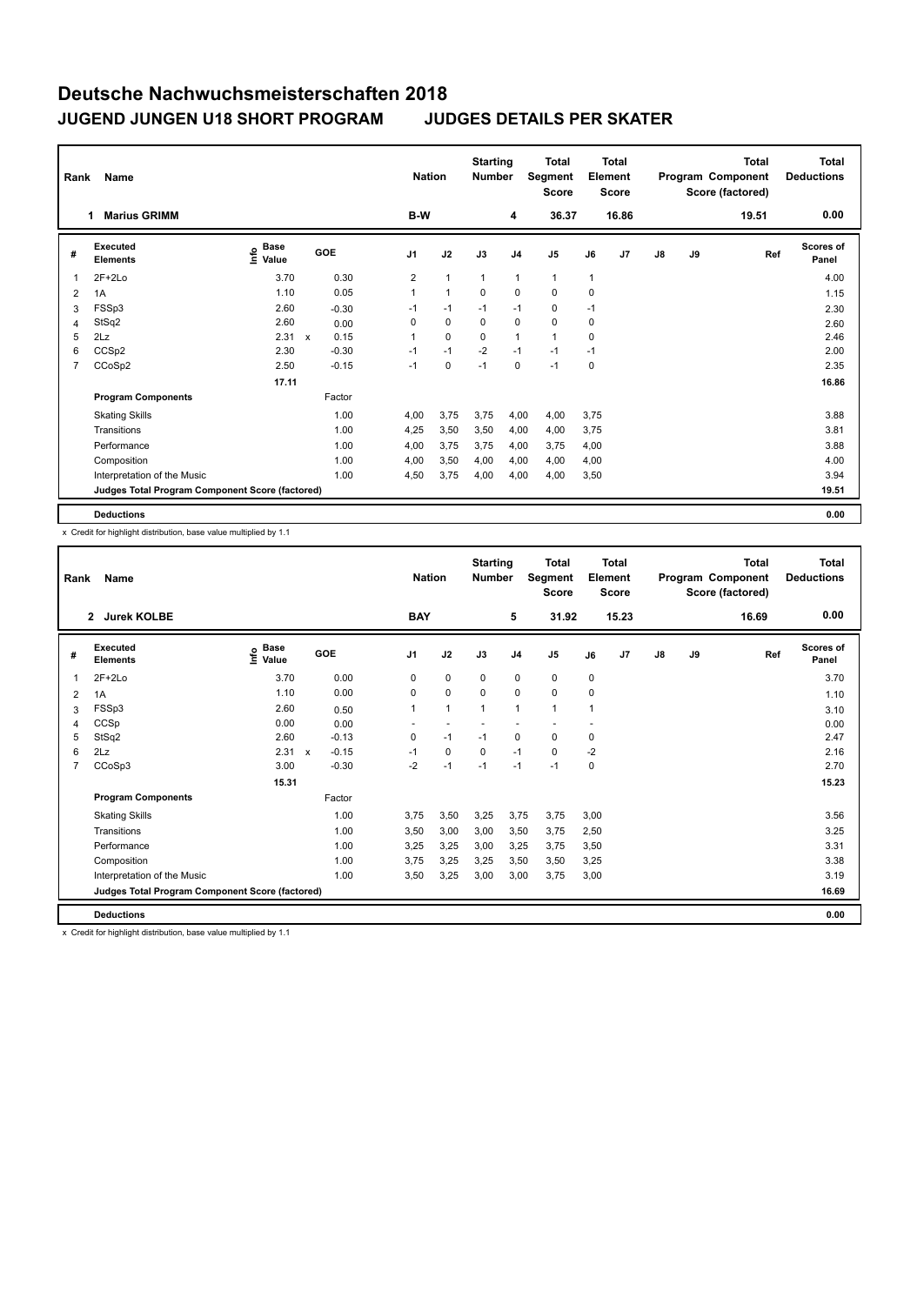## **Deutsche Nachwuchsmeisterschaften 2018 JUGEND JUNGEN U18 SHORT PROGRAM JUDGES DETAILS PER SKATER**

| Rank           | Name                                            |                                  |                                   | <b>Nation</b>  |              | <b>Starting</b><br><b>Number</b> |                | <b>Total</b><br>Segment<br><b>Score</b> |              | <b>Total</b><br>Element<br><b>Score</b> |               |    | <b>Total</b><br>Program Component<br>Score (factored) | <b>Total</b><br><b>Deductions</b> |
|----------------|-------------------------------------------------|----------------------------------|-----------------------------------|----------------|--------------|----------------------------------|----------------|-----------------------------------------|--------------|-----------------------------------------|---------------|----|-------------------------------------------------------|-----------------------------------|
|                | <b>Marius GRIMM</b><br>1                        |                                  |                                   | B-W            |              |                                  | 4              | 36.37                                   |              | 16.86                                   |               |    | 19.51                                                 | 0.00                              |
| #              | Executed<br><b>Elements</b>                     | <b>Base</b><br>e Base<br>⊆ Value | <b>GOE</b>                        | J <sub>1</sub> | J2           | J3                               | J <sub>4</sub> | J <sub>5</sub>                          | J6           | J7                                      | $\mathsf{J}8$ | J9 | Ref                                                   | Scores of<br>Panel                |
| 1              | $2F+2Lo$                                        | 3.70                             | 0.30                              | $\overline{2}$ | $\mathbf{1}$ | $\mathbf{1}$                     | $\mathbf{1}$   | $\mathbf{1}$                            | $\mathbf{1}$ |                                         |               |    |                                                       | 4.00                              |
| 2              | 1A                                              | 1.10                             | 0.05                              | 1              | $\mathbf{1}$ | 0                                | $\mathbf 0$    | $\pmb{0}$                               | 0            |                                         |               |    |                                                       | 1.15                              |
| 3              | FSSp3                                           | 2.60                             | $-0.30$                           | $-1$           | $-1$         | $-1$                             | $-1$           | $\pmb{0}$                               | $-1$         |                                         |               |    |                                                       | 2.30                              |
| 4              | StSq2                                           | 2.60                             | 0.00                              | 0              | $\mathbf 0$  | $\Omega$                         | $\mathbf 0$    | $\mathbf 0$                             | $\mathbf 0$  |                                         |               |    |                                                       | 2.60                              |
| 5              | 2Lz                                             | 2.31                             | 0.15<br>$\boldsymbol{\mathsf{x}}$ |                | $\mathbf 0$  | 0                                | $\mathbf{1}$   | $\mathbf{1}$                            | $\mathbf 0$  |                                         |               |    |                                                       | 2.46                              |
| 6              | CCSp2                                           | 2.30                             | $-0.30$                           | $-1$           | $-1$         | $-2$                             | $-1$           | $-1$                                    | $-1$         |                                         |               |    |                                                       | 2.00                              |
| $\overline{7}$ | CCoSp2                                          | 2.50                             | $-0.15$                           | $-1$           | $\mathbf 0$  | $-1$                             | $\mathbf 0$    | $-1$                                    | $\mathbf 0$  |                                         |               |    |                                                       | 2.35                              |
|                |                                                 | 17.11                            |                                   |                |              |                                  |                |                                         |              |                                         |               |    |                                                       | 16.86                             |
|                | <b>Program Components</b>                       |                                  | Factor                            |                |              |                                  |                |                                         |              |                                         |               |    |                                                       |                                   |
|                | <b>Skating Skills</b>                           |                                  | 1.00                              | 4,00           | 3,75         | 3,75                             | 4,00           | 4,00                                    | 3.75         |                                         |               |    |                                                       | 3.88                              |
|                | Transitions                                     |                                  | 1.00                              | 4,25           | 3,50         | 3,50                             | 4,00           | 4,00                                    | 3,75         |                                         |               |    |                                                       | 3.81                              |
|                | Performance                                     |                                  | 1.00                              | 4,00           | 3,75         | 3,75                             | 4,00           | 3,75                                    | 4,00         |                                         |               |    |                                                       | 3.88                              |
|                | Composition                                     |                                  | 1.00                              | 4,00           | 3,50         | 4,00                             | 4,00           | 4,00                                    | 4,00         |                                         |               |    |                                                       | 4.00                              |
|                | Interpretation of the Music                     |                                  | 1.00                              | 4,50           | 3,75         | 4,00                             | 4,00           | 4,00                                    | 3,50         |                                         |               |    |                                                       | 3.94                              |
|                | Judges Total Program Component Score (factored) |                                  |                                   |                |              |                                  |                |                                         |              |                                         |               |    |                                                       | 19.51                             |
|                | <b>Deductions</b>                               |                                  |                                   |                |              |                                  |                |                                         |              |                                         |               |    |                                                       | 0.00                              |

x Credit for highlight distribution, base value multiplied by 1.1

| Rank           | Name                                            |                                  |                           |         |                | <b>Nation</b> | <b>Starting</b><br><b>Number</b> |                | Total<br>Segment<br><b>Score</b> |      | Total<br>Element<br><b>Score</b> |               |    | Total<br>Program Component<br>Score (factored) | <b>Total</b><br><b>Deductions</b> |
|----------------|-------------------------------------------------|----------------------------------|---------------------------|---------|----------------|---------------|----------------------------------|----------------|----------------------------------|------|----------------------------------|---------------|----|------------------------------------------------|-----------------------------------|
|                | <b>Jurek KOLBE</b><br>$\mathbf{2}$              |                                  |                           |         | <b>BAY</b>     |               |                                  | 5              | 31.92                            |      | 15.23                            |               |    | 16.69                                          | 0.00                              |
| #              | Executed<br><b>Elements</b>                     | <b>Base</b><br>e Base<br>⊆ Value | GOE                       |         | J <sub>1</sub> | J2            | J3                               | J <sub>4</sub> | J5                               | J6   | J7                               | $\mathsf{J}8$ | J9 | Ref                                            | <b>Scores of</b><br>Panel         |
| 1              | $2F+2Lo$                                        | 3.70                             |                           | 0.00    | 0              | $\mathbf 0$   | $\mathbf 0$                      | $\mathbf 0$    | 0                                | 0    |                                  |               |    |                                                | 3.70                              |
| 2              | 1A                                              | 1.10                             |                           | 0.00    | 0              | $\mathbf 0$   | $\Omega$                         | $\mathbf 0$    | 0                                | 0    |                                  |               |    |                                                | 1.10                              |
| 3              | FSSp3                                           | 2.60                             |                           | 0.50    | 1              | $\mathbf{1}$  | $\mathbf{1}$                     | $\mathbf{1}$   | 1                                | 1    |                                  |               |    |                                                | 3.10                              |
| 4              | CCSp                                            | 0.00                             |                           | 0.00    |                | н.            |                                  |                |                                  |      |                                  |               |    |                                                | 0.00                              |
| 5              | StSq2                                           | 2.60                             |                           | $-0.13$ | 0              | $-1$          | $-1$                             | 0              | 0                                | 0    |                                  |               |    |                                                | 2.47                              |
| 6              | 2Lz                                             | 2.31                             | $\boldsymbol{\mathsf{x}}$ | $-0.15$ | $-1$           | $\mathbf 0$   | $\mathbf 0$                      | $-1$           | 0                                | $-2$ |                                  |               |    |                                                | 2.16                              |
| $\overline{7}$ | CCoSp3                                          | 3.00                             |                           | $-0.30$ | $-2$           | $-1$          | $-1$                             | $-1$           | $-1$                             | 0    |                                  |               |    |                                                | 2.70                              |
|                |                                                 | 15.31                            |                           |         |                |               |                                  |                |                                  |      |                                  |               |    |                                                | 15.23                             |
|                | <b>Program Components</b>                       |                                  |                           | Factor  |                |               |                                  |                |                                  |      |                                  |               |    |                                                |                                   |
|                | <b>Skating Skills</b>                           |                                  |                           | 1.00    | 3.75           | 3,50          | 3,25                             | 3.75           | 3,75                             | 3,00 |                                  |               |    |                                                | 3.56                              |
|                | Transitions                                     |                                  |                           | 1.00    | 3,50           | 3,00          | 3,00                             | 3,50           | 3,75                             | 2,50 |                                  |               |    |                                                | 3.25                              |
|                | Performance                                     |                                  |                           | 1.00    | 3,25           | 3,25          | 3,00                             | 3,25           | 3,75                             | 3,50 |                                  |               |    |                                                | 3.31                              |
|                | Composition                                     |                                  |                           | 1.00    | 3.75           | 3,25          | 3,25                             | 3.50           | 3,50                             | 3,25 |                                  |               |    |                                                | 3.38                              |
|                | Interpretation of the Music                     |                                  |                           | 1.00    | 3,50           | 3,25          | 3,00                             | 3,00           | 3,75                             | 3,00 |                                  |               |    |                                                | 3.19                              |
|                | Judges Total Program Component Score (factored) |                                  |                           |         |                |               |                                  |                |                                  |      |                                  |               |    |                                                | 16.69                             |
|                | <b>Deductions</b>                               |                                  |                           |         |                |               |                                  |                |                                  |      |                                  |               |    |                                                | 0.00                              |

x Credit for highlight distribution, base value multiplied by 1.1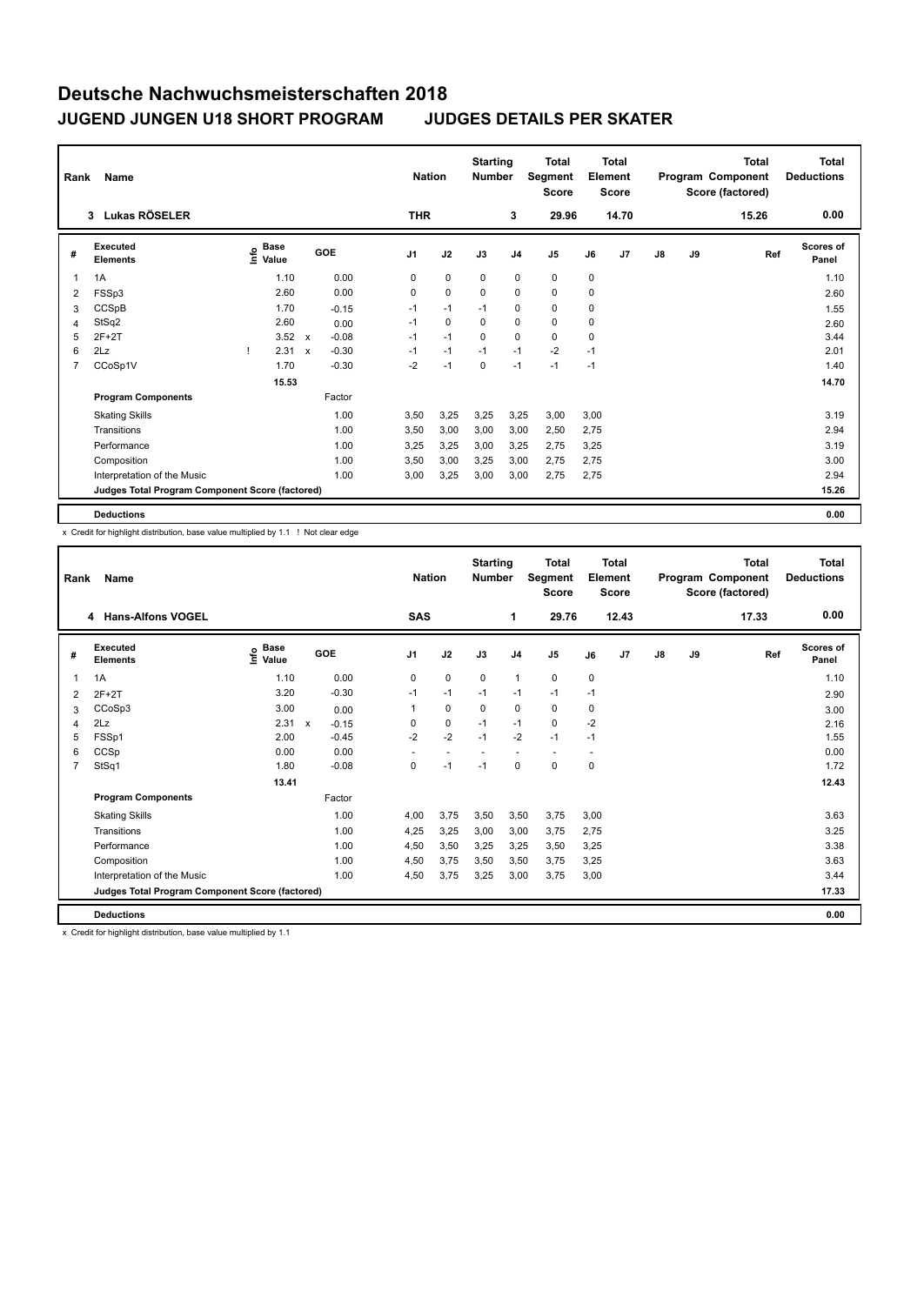## **Deutsche Nachwuchsmeisterschaften 2018 JUGEND JUNGEN U18 SHORT PROGRAM JUDGES DETAILS PER SKATER**

| Name<br>Rank   |                                                 |  |                             |                           | <b>Nation</b> |                | <b>Starting</b><br><b>Number</b> |             | <b>Total</b><br>Segment<br><b>Score</b> | <b>Total</b><br>Element<br><b>Score</b> |             |       | <b>Total</b><br>Program Component<br>Score (factored) |    | <b>Total</b><br><b>Deductions</b> |                           |
|----------------|-------------------------------------------------|--|-----------------------------|---------------------------|---------------|----------------|----------------------------------|-------------|-----------------------------------------|-----------------------------------------|-------------|-------|-------------------------------------------------------|----|-----------------------------------|---------------------------|
|                | Lukas RÖSELER<br>3 <sup>1</sup>                 |  |                             |                           |               | <b>THR</b>     |                                  |             | 3                                       | 29.96                                   |             | 14.70 |                                                       |    | 15.26                             | 0.00                      |
| #              | Executed<br><b>Elements</b>                     |  | Base<br>$\frac{6}{5}$ Value |                           | GOE           | J <sub>1</sub> | J2                               | J3          | J <sub>4</sub>                          | J <sub>5</sub>                          | J6          | J7    | $\mathsf{J}8$                                         | J9 | Ref                               | <b>Scores of</b><br>Panel |
| $\mathbf{1}$   | 1A                                              |  | 1.10                        |                           | 0.00          | 0              | $\mathbf 0$                      | 0           | $\mathbf 0$                             | $\mathbf 0$                             | 0           |       |                                                       |    |                                   | 1.10                      |
| 2              | FSSp3                                           |  | 2.60                        |                           | 0.00          | 0              | $\mathbf 0$                      | $\mathbf 0$ | $\mathbf 0$                             | $\mathbf 0$                             | $\mathbf 0$ |       |                                                       |    |                                   | 2.60                      |
| 3              | CCSpB                                           |  | 1.70                        |                           | $-0.15$       | $-1$           | $-1$                             | $-1$        | 0                                       | 0                                       | 0           |       |                                                       |    |                                   | 1.55                      |
| 4              | StSq2                                           |  | 2.60                        |                           | 0.00          | $-1$           | 0                                | 0           | 0                                       | $\mathbf 0$                             | $\mathbf 0$ |       |                                                       |    |                                   | 2.60                      |
| 5              | $2F+2T$                                         |  | 3.52                        | $\boldsymbol{\mathsf{x}}$ | $-0.08$       | $-1$           | $-1$                             | $\mathbf 0$ | $\mathbf 0$                             | $\mathbf 0$                             | $\mathbf 0$ |       |                                                       |    |                                   | 3.44                      |
| 6              | 2Lz                                             |  | 2.31                        | $\boldsymbol{\mathsf{x}}$ | $-0.30$       | $-1$           | $-1$                             | $-1$        | $-1$                                    | $-2$                                    | $-1$        |       |                                                       |    |                                   | 2.01                      |
| $\overline{7}$ | CCoSp1V                                         |  | 1.70                        |                           | $-0.30$       | $-2$           | $-1$                             | $\mathbf 0$ | $-1$                                    | $-1$                                    | $-1$        |       |                                                       |    |                                   | 1.40                      |
|                |                                                 |  | 15.53                       |                           |               |                |                                  |             |                                         |                                         |             |       |                                                       |    |                                   | 14.70                     |
|                | <b>Program Components</b>                       |  |                             |                           | Factor        |                |                                  |             |                                         |                                         |             |       |                                                       |    |                                   |                           |
|                | <b>Skating Skills</b>                           |  |                             |                           | 1.00          | 3,50           | 3,25                             | 3,25        | 3,25                                    | 3,00                                    | 3,00        |       |                                                       |    |                                   | 3.19                      |
|                | Transitions                                     |  |                             |                           | 1.00          | 3,50           | 3,00                             | 3,00        | 3,00                                    | 2,50                                    | 2,75        |       |                                                       |    |                                   | 2.94                      |
|                | Performance                                     |  |                             |                           | 1.00          | 3,25           | 3,25                             | 3,00        | 3,25                                    | 2,75                                    | 3,25        |       |                                                       |    |                                   | 3.19                      |
|                | Composition                                     |  |                             |                           | 1.00          | 3,50           | 3,00                             | 3,25        | 3,00                                    | 2,75                                    | 2,75        |       |                                                       |    |                                   | 3.00                      |
|                | Interpretation of the Music                     |  |                             |                           | 1.00          | 3,00           | 3,25                             | 3,00        | 3,00                                    | 2,75                                    | 2,75        |       |                                                       |    |                                   | 2.94                      |
|                | Judges Total Program Component Score (factored) |  |                             |                           |               |                |                                  |             |                                         |                                         |             |       |                                                       |    |                                   | 15.26                     |
|                | <b>Deductions</b>                               |  |                             |                           |               |                |                                  |             |                                         |                                         |             |       |                                                       |    |                                   | 0.00                      |

x Credit for highlight distribution, base value multiplied by 1.1 ! Not clear edge

| Rank | Name                                            |                                           |                         | <b>Nation</b>  |             | <b>Starting</b><br><b>Number</b> |                          | <b>Total</b><br>Segment<br><b>Score</b> |                          | Total<br>Element<br><b>Score</b> |               |    | <b>Total</b><br>Program Component<br>Score (factored) | <b>Total</b><br><b>Deductions</b> |
|------|-------------------------------------------------|-------------------------------------------|-------------------------|----------------|-------------|----------------------------------|--------------------------|-----------------------------------------|--------------------------|----------------------------------|---------------|----|-------------------------------------------------------|-----------------------------------|
|      | 4 Hans-Alfons VOGEL                             |                                           |                         | <b>SAS</b>     |             |                                  | 1                        | 29.76                                   |                          | 12.43                            |               |    | 17.33                                                 | 0.00                              |
| #    | Executed<br><b>Elements</b>                     | $\frac{e}{E}$ Base<br>$\frac{E}{E}$ Value | GOE                     | J <sub>1</sub> | J2          | J3                               | J <sub>4</sub>           | J5                                      | J6                       | J <sub>7</sub>                   | $\mathsf{J}8$ | J9 | Ref                                                   | <b>Scores of</b><br>Panel         |
| 1    | 1A                                              | 1.10                                      | 0.00                    | 0              | $\mathbf 0$ | 0                                | $\mathbf{1}$             | 0                                       | 0                        |                                  |               |    |                                                       | 1.10                              |
| 2    | $2F+2T$                                         | 3.20                                      | $-0.30$                 | $-1$           | $-1$        | $-1$                             | $-1$                     | $-1$                                    | $-1$                     |                                  |               |    |                                                       | 2.90                              |
| 3    | CCoSp3                                          | 3.00                                      | 0.00                    |                | $\mathbf 0$ | $\mathbf 0$                      | $\mathbf 0$              | 0                                       | 0                        |                                  |               |    |                                                       | 3.00                              |
| 4    | 2Lz                                             | 2.31                                      | $\mathsf{x}$<br>$-0.15$ | 0              | 0           | $-1$                             | $-1$                     | 0                                       | $-2$                     |                                  |               |    |                                                       | 2.16                              |
| 5    | FSSp1                                           | 2.00                                      | $-0.45$                 | $-2$           | $-2$        | $-1$                             | $-2$                     | $-1$                                    | $-1$                     |                                  |               |    |                                                       | 1.55                              |
| 6    | CCSp                                            | 0.00                                      | 0.00                    |                | $\sim$      | $\overline{\phantom{a}}$         | $\overline{\phantom{a}}$ | $\overline{\phantom{a}}$                | $\overline{\phantom{a}}$ |                                  |               |    |                                                       | 0.00                              |
|      | StSq1                                           | 1.80                                      | $-0.08$                 | 0              | $-1$        | $-1$                             | 0                        | 0                                       | 0                        |                                  |               |    |                                                       | 1.72                              |
|      |                                                 | 13.41                                     |                         |                |             |                                  |                          |                                         |                          |                                  |               |    |                                                       | 12.43                             |
|      | <b>Program Components</b>                       |                                           | Factor                  |                |             |                                  |                          |                                         |                          |                                  |               |    |                                                       |                                   |
|      | <b>Skating Skills</b>                           |                                           | 1.00                    | 4,00           | 3.75        | 3,50                             | 3,50                     | 3,75                                    | 3,00                     |                                  |               |    |                                                       | 3.63                              |
|      | Transitions                                     |                                           | 1.00                    | 4,25           | 3,25        | 3,00                             | 3,00                     | 3,75                                    | 2,75                     |                                  |               |    |                                                       | 3.25                              |
|      | Performance                                     |                                           | 1.00                    | 4,50           | 3,50        | 3,25                             | 3,25                     | 3,50                                    | 3,25                     |                                  |               |    |                                                       | 3.38                              |
|      | Composition                                     |                                           | 1.00                    | 4,50           | 3,75        | 3,50                             | 3,50                     | 3,75                                    | 3,25                     |                                  |               |    |                                                       | 3.63                              |
|      | Interpretation of the Music                     |                                           | 1.00                    | 4,50           | 3,75        | 3,25                             | 3,00                     | 3,75                                    | 3,00                     |                                  |               |    |                                                       | 3.44                              |
|      | Judges Total Program Component Score (factored) |                                           |                         |                |             |                                  |                          |                                         |                          |                                  |               |    |                                                       | 17.33                             |
|      | <b>Deductions</b>                               |                                           |                         |                |             |                                  |                          |                                         |                          |                                  |               |    |                                                       | 0.00                              |

x Credit for highlight distribution, base value multiplied by 1.1